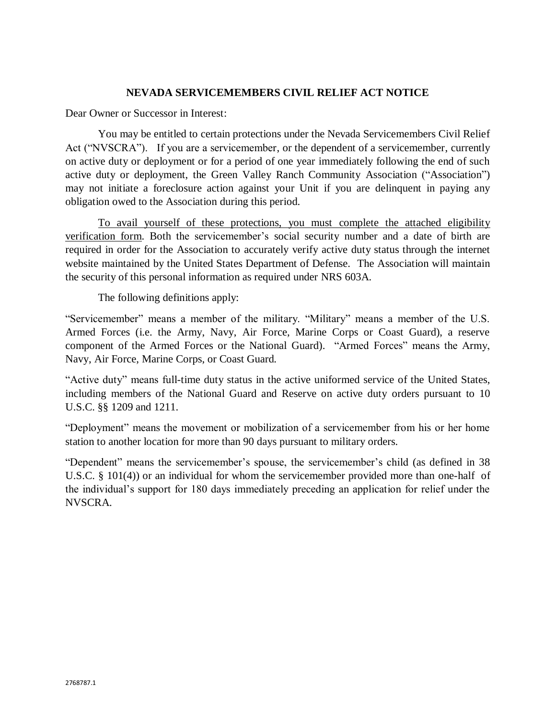## **NEVADA SERVICEMEMBERS CIVIL RELIEF ACT NOTICE**

Dear Owner or Successor in Interest:

You may be entitled to certain protections under the Nevada Servicemembers Civil Relief Act ("NVSCRA"). If you are a servicemember, or the dependent of a servicemember, currently on active duty or deployment or for a period of one year immediately following the end of such active duty or deployment, the Green Valley Ranch Community Association ("Association") may not initiate a foreclosure action against your Unit if you are delinquent in paying any obligation owed to the Association during this period.

To avail yourself of these protections, you must complete the attached eligibility verification form. Both the servicemember's social security number and a date of birth are required in order for the Association to accurately verify active duty status through the internet website maintained by the United States Department of Defense. The Association will maintain the security of this personal information as required under NRS 603A.

The following definitions apply:

"Servicemember" means a member of the military. "Military" means a member of the U.S. Armed Forces (i.e. the Army, Navy, Air Force, Marine Corps or Coast Guard), a reserve component of the Armed Forces or the National Guard). "Armed Forces" means the Army, Navy, Air Force, Marine Corps, or Coast Guard.

"Active duty" means full-time duty status in the active uniformed service of the United States, including members of the National Guard and Reserve on active duty orders pursuant to 10 U.S.C. §§ 1209 and 1211.

"Deployment" means the movement or mobilization of a servicemember from his or her home station to another location for more than 90 days pursuant to military orders.

"Dependent" means the servicemember's spouse, the servicemember's child (as defined in 38 U.S.C. § 101(4)) or an individual for whom the servicemember provided more than one-half of the individual's support for 180 days immediately preceding an application for relief under the NVSCRA.